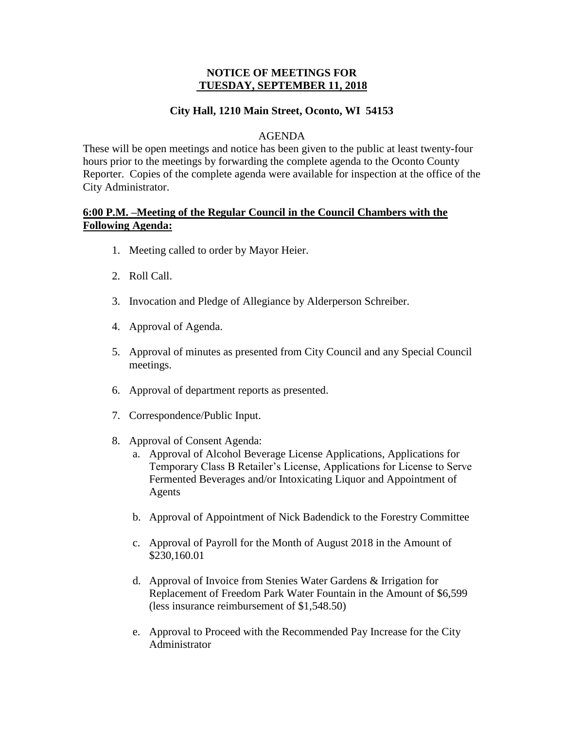# **NOTICE OF MEETINGS FOR TUESDAY, SEPTEMBER 11, 2018**

# **City Hall, 1210 Main Street, Oconto, WI 54153**

# AGENDA

These will be open meetings and notice has been given to the public at least twenty-four hours prior to the meetings by forwarding the complete agenda to the Oconto County Reporter. Copies of the complete agenda were available for inspection at the office of the City Administrator.

# **6:00 P.M. –Meeting of the Regular Council in the Council Chambers with the Following Agenda:**

- 1. Meeting called to order by Mayor Heier.
- 2. Roll Call.
- 3. Invocation and Pledge of Allegiance by Alderperson Schreiber.
- 4. Approval of Agenda.
- 5. Approval of minutes as presented from City Council and any Special Council meetings.
- 6. Approval of department reports as presented.
- 7. Correspondence/Public Input.
- 8. Approval of Consent Agenda:
	- a. Approval of Alcohol Beverage License Applications, Applications for Temporary Class B Retailer's License, Applications for License to Serve Fermented Beverages and/or Intoxicating Liquor and Appointment of Agents
	- b. Approval of Appointment of Nick Badendick to the Forestry Committee
	- c. Approval of Payroll for the Month of August 2018 in the Amount of \$230,160.01
	- d. Approval of Invoice from Stenies Water Gardens & Irrigation for Replacement of Freedom Park Water Fountain in the Amount of \$6,599 (less insurance reimbursement of \$1,548.50)
	- e. Approval to Proceed with the Recommended Pay Increase for the City Administrator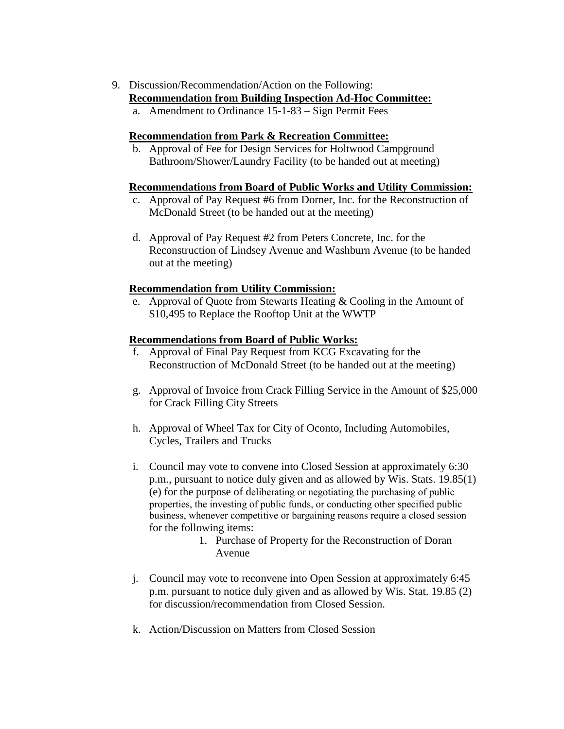9. Discussion/Recommendation/Action on the Following:

## **Recommendation from Building Inspection Ad-Hoc Committee:**

a. Amendment to Ordinance 15-1-83 – Sign Permit Fees

## **Recommendation from Park & Recreation Committee:**

b. Approval of Fee for Design Services for Holtwood Campground Bathroom/Shower/Laundry Facility (to be handed out at meeting)

### **Recommendations from Board of Public Works and Utility Commission:**

- c. Approval of Pay Request #6 from Dorner, Inc. for the Reconstruction of McDonald Street (to be handed out at the meeting)
- d. Approval of Pay Request #2 from Peters Concrete, Inc. for the Reconstruction of Lindsey Avenue and Washburn Avenue (to be handed out at the meeting)

### **Recommendation from Utility Commission:**

e. Approval of Quote from Stewarts Heating & Cooling in the Amount of \$10,495 to Replace the Rooftop Unit at the WWTP

### **Recommendations from Board of Public Works:**

- f. Approval of Final Pay Request from KCG Excavating for the Reconstruction of McDonald Street (to be handed out at the meeting)
- g. Approval of Invoice from Crack Filling Service in the Amount of \$25,000 for Crack Filling City Streets
- h. Approval of Wheel Tax for City of Oconto, Including Automobiles, Cycles, Trailers and Trucks
- i. Council may vote to convene into Closed Session at approximately 6:30 p.m., pursuant to notice duly given and as allowed by Wis. Stats. 19.85(1) (e) for the purpose of deliberating or negotiating the purchasing of public properties, the investing of public funds, or conducting other specified public business, whenever competitive or bargaining reasons require a closed session for the following items:
	- 1. Purchase of Property for the Reconstruction of Doran Avenue
- j. Council may vote to reconvene into Open Session at approximately 6:45 p.m. pursuant to notice duly given and as allowed by Wis. Stat. 19.85 (2) for discussion/recommendation from Closed Session.
- k. Action/Discussion on Matters from Closed Session